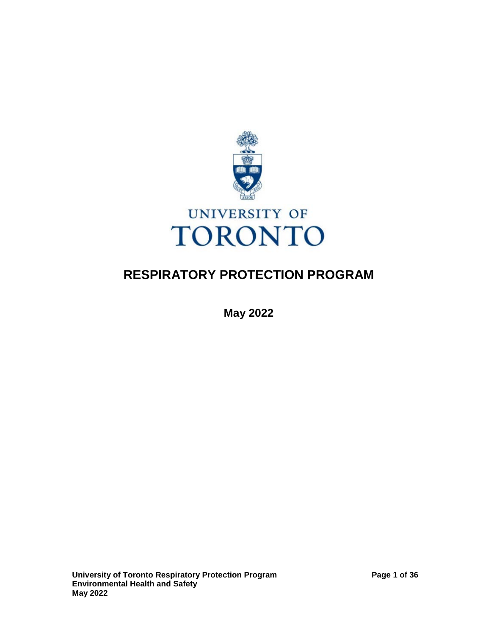

# **RESPIRATORY PROTECTION PROGRAM**

**May 2022**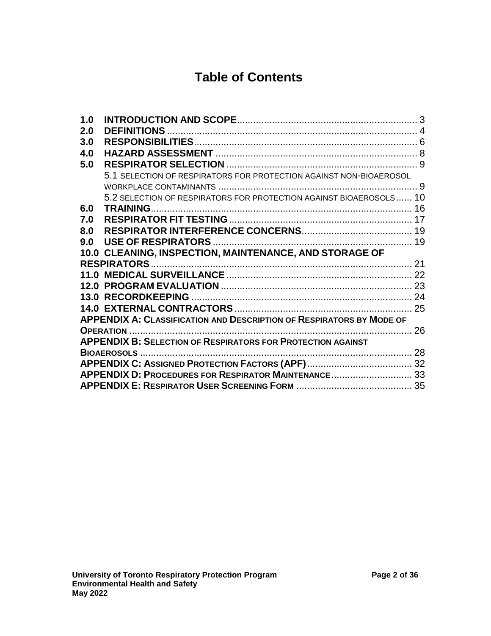# **Table of Contents**

| 1.0 |                                                                             |    |
|-----|-----------------------------------------------------------------------------|----|
| 2.0 |                                                                             |    |
| 3.0 |                                                                             |    |
| 4.0 |                                                                             |    |
| 5.0 |                                                                             |    |
|     | 5.1 SELECTION OF RESPIRATORS FOR PROTECTION AGAINST NON-BIOAEROSOL          |    |
|     |                                                                             |    |
|     | 5.2 SELECTION OF RESPIRATORS FOR PROTECTION AGAINST BIOAEROSOLS 10          |    |
| 6.0 |                                                                             |    |
| 7.0 |                                                                             |    |
| 8.0 |                                                                             |    |
| 9.0 |                                                                             |    |
|     | 10.0 CLEANING, INSPECTION, MAINTENANCE, AND STORAGE OF                      |    |
|     |                                                                             |    |
|     |                                                                             |    |
|     |                                                                             |    |
|     |                                                                             |    |
|     |                                                                             |    |
|     | <b>APPENDIX A: CLASSIFICATION AND DESCRIPTION OF RESPIRATORS BY MODE OF</b> |    |
|     |                                                                             | 26 |
|     | <b>APPENDIX B: SELECTION OF RESPIRATORS FOR PROTECTION AGAINST</b>          |    |
|     |                                                                             |    |
|     |                                                                             |    |
|     |                                                                             |    |
|     |                                                                             |    |
|     |                                                                             |    |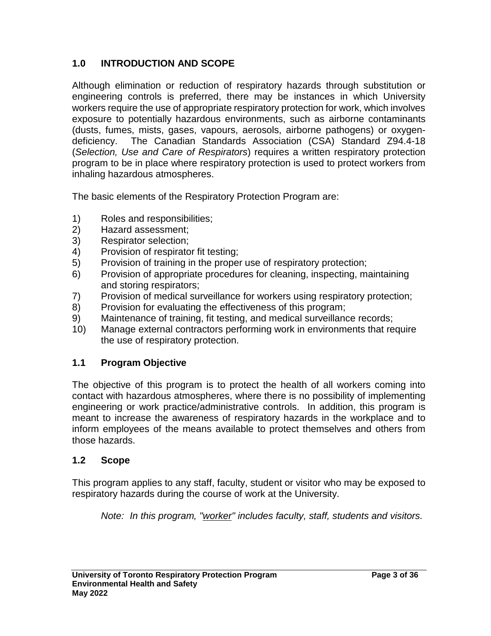## <span id="page-2-0"></span>**1.0 INTRODUCTION AND SCOPE**

Although elimination or reduction of respiratory hazards through substitution or engineering controls is preferred, there may be instances in which University workers require the use of appropriate respiratory protection for work, which involves exposure to potentially hazardous environments, such as airborne contaminants (dusts, fumes, mists, gases, vapours, aerosols, airborne pathogens) or oxygendeficiency. The Canadian Standards Association (CSA) Standard Z94.4-18 (*Selection, Use and Care of Respirators*) requires a written respiratory protection program to be in place where respiratory protection is used to protect workers from inhaling hazardous atmospheres.

The basic elements of the Respiratory Protection Program are:

- 1) Roles and responsibilities;
- 2) Hazard assessment;
- 3) Respirator selection;
- 4) Provision of respirator fit testing;
- 5) Provision of training in the proper use of respiratory protection;
- 6) Provision of appropriate procedures for cleaning, inspecting, maintaining and storing respirators;
- 7) Provision of medical surveillance for workers using respiratory protection;
- 8) Provision for evaluating the effectiveness of this program;
- 9) Maintenance of training, fit testing, and medical surveillance records;
- 10) Manage external contractors performing work in environments that require the use of respiratory protection.

#### **1.1 Program Objective**

The objective of this program is to protect the health of all workers coming into contact with hazardous atmospheres, where there is no possibility of implementing engineering or work practice/administrative controls. In addition, this program is meant to increase the awareness of respiratory hazards in the workplace and to inform employees of the means available to protect themselves and others from those hazards.

#### **1.2 Scope**

This program applies to any staff, faculty, student or visitor who may be exposed to respiratory hazards during the course of work at the University.

*Note: In this program, "worker" includes faculty, staff, students and visitors.*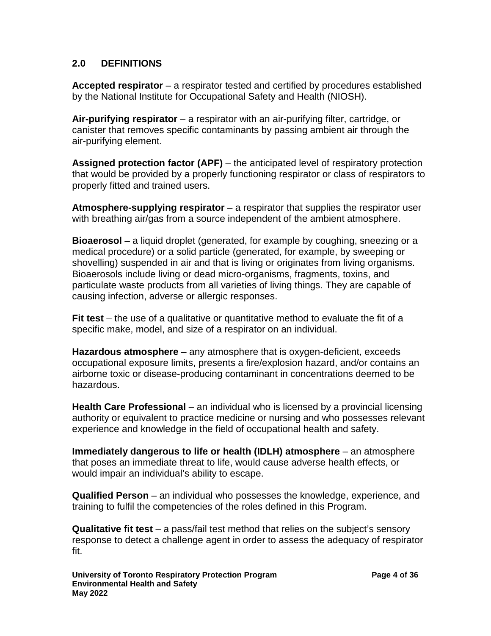#### <span id="page-3-0"></span>**2.0 DEFINITIONS**

**Accepted respirator** – a respirator tested and certified by procedures established by the National Institute for Occupational Safety and Health (NIOSH).

**Air-purifying respirator** – a respirator with an air-purifying filter, cartridge, or canister that removes specific contaminants by passing ambient air through the air-purifying element.

**Assigned protection factor (APF)** – the anticipated level of respiratory protection that would be provided by a properly functioning respirator or class of respirators to properly fitted and trained users.

**Atmosphere-supplying respirator** – a respirator that supplies the respirator user with breathing air/gas from a source independent of the ambient atmosphere.

**Bioaerosol** – a liquid droplet (generated, for example by coughing, sneezing or a medical procedure) or a solid particle (generated, for example, by sweeping or shovelling) suspended in air and that is living or originates from living organisms. Bioaerosols include living or dead micro-organisms, fragments, toxins, and particulate waste products from all varieties of living things. They are capable of causing infection, adverse or allergic responses.

**Fit test** – the use of a qualitative or quantitative method to evaluate the fit of a specific make, model, and size of a respirator on an individual.

**Hazardous atmosphere** – any atmosphere that is oxygen-deficient, exceeds occupational exposure limits, presents a fire/explosion hazard, and/or contains an airborne toxic or disease-producing contaminant in concentrations deemed to be hazardous.

**Health Care Professional** – an individual who is licensed by a provincial licensing authority or equivalent to practice medicine or nursing and who possesses relevant experience and knowledge in the field of occupational health and safety.

**Immediately dangerous to life or health (IDLH) atmosphere** – an atmosphere that poses an immediate threat to life, would cause adverse health effects, or would impair an individual's ability to escape.

**Qualified Person** – an individual who possesses the knowledge, experience, and training to fulfil the competencies of the roles defined in this Program.

**Qualitative fit test** – a pass/fail test method that relies on the subject's sensory response to detect a challenge agent in order to assess the adequacy of respirator fit.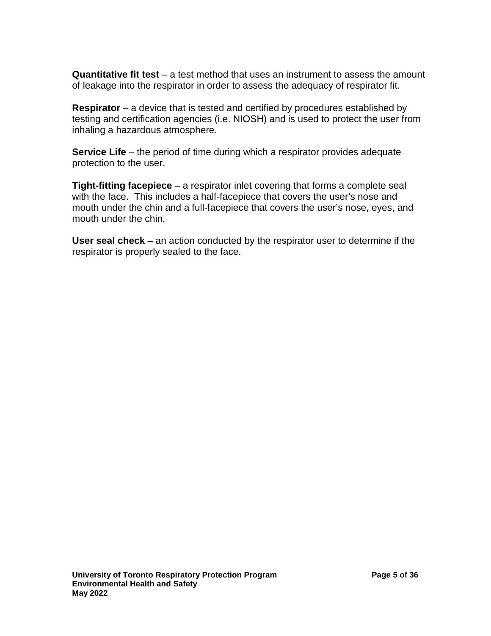**Quantitative fit test** – a test method that uses an instrument to assess the amount of leakage into the respirator in order to assess the adequacy of respirator fit.

**Respirator** – a device that is tested and certified by procedures established by testing and certification agencies (i.e. NIOSH) and is used to protect the user from inhaling a hazardous atmosphere.

**Service Life** – the period of time during which a respirator provides adequate protection to the user.

**Tight-fitting facepiece** – a respirator inlet covering that forms a complete seal with the face. This includes a half-facepiece that covers the user's nose and mouth under the chin and a full-facepiece that covers the user's nose, eyes, and mouth under the chin.

**User seal check** – an action conducted by the respirator user to determine if the respirator is properly sealed to the face.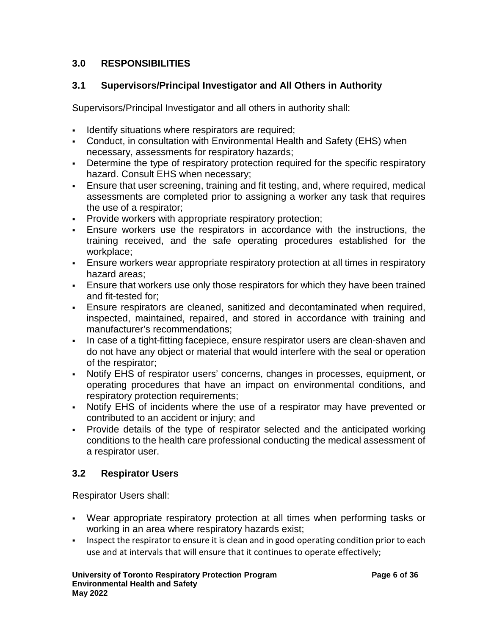#### <span id="page-5-0"></span>**3.0 RESPONSIBILITIES**

#### **3.1 Supervisors/Principal Investigator and All Others in Authority**

Supervisors/Principal Investigator and all others in authority shall:

- Identify situations where respirators are required;
- Conduct, in consultation with Environmental Health and Safety (EHS) when necessary, assessments for respiratory hazards;
- Determine the type of respiratory protection required for the specific respiratory hazard. Consult EHS when necessary;
- Ensure that user screening, training and fit testing, and, where required, medical assessments are completed prior to assigning a worker any task that requires the use of a respirator;
- **Provide workers with appropriate respiratory protection;**
- Ensure workers use the respirators in accordance with the instructions, the training received, and the safe operating procedures established for the workplace;
- Ensure workers wear appropriate respiratory protection at all times in respiratory hazard areas;
- Ensure that workers use only those respirators for which they have been trained and fit-tested for;
- Ensure respirators are cleaned, sanitized and decontaminated when required, inspected, maintained, repaired, and stored in accordance with training and manufacturer's recommendations;
- In case of a tight-fitting facepiece, ensure respirator users are clean-shaven and do not have any object or material that would interfere with the seal or operation of the respirator;
- Notify EHS of respirator users' concerns, changes in processes, equipment, or operating procedures that have an impact on environmental conditions, and respiratory protection requirements;
- Notify EHS of incidents where the use of a respirator may have prevented or contributed to an accident or injury; and
- Provide details of the type of respirator selected and the anticipated working conditions to the health care professional conducting the medical assessment of a respirator user.

## **3.2 Respirator Users**

Respirator Users shall:

- Wear appropriate respiratory protection at all times when performing tasks or working in an area where respiratory hazards exist;
- Inspect the respirator to ensure it is clean and in good operating condition prior to each use and at intervals that will ensure that it continues to operate effectively;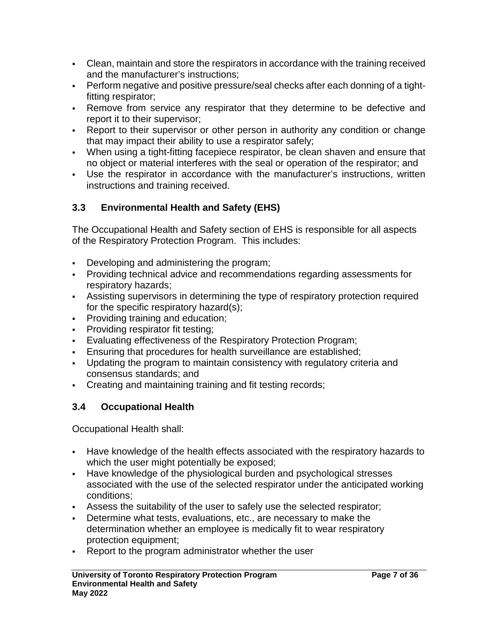- Clean, maintain and store the respirators in accordance with the training received and the manufacturer's instructions;
- Perform negative and positive pressure/seal checks after each donning of a tightfitting respirator;
- Remove from service any respirator that they determine to be defective and report it to their supervisor;
- Report to their supervisor or other person in authority any condition or change that may impact their ability to use a respirator safely;
- When using a tight-fitting facepiece respirator, be clean shaven and ensure that no object or material interferes with the seal or operation of the respirator; and
- Use the respirator in accordance with the manufacturer's instructions, written instructions and training received.

## **3.3 Environmental Health and Safety (EHS)**

The Occupational Health and Safety section of EHS is responsible for all aspects of the Respiratory Protection Program. This includes:

- Developing and administering the program;
- Providing technical advice and recommendations regarding assessments for respiratory hazards;
- Assisting supervisors in determining the type of respiratory protection required for the specific respiratory hazard(s);
- **Providing training and education;**
- **Providing respirator fit testing;**
- Evaluating effectiveness of the Respiratory Protection Program;
- **Ensuring that procedures for health surveillance are established;**
- Updating the program to maintain consistency with regulatory criteria and consensus standards; and
- Creating and maintaining training and fit testing records;

#### **3.4 Occupational Health**

Occupational Health shall:

- Have knowledge of the health effects associated with the respiratory hazards to which the user might potentially be exposed;
- Have knowledge of the physiological burden and psychological stresses associated with the use of the selected respirator under the anticipated working conditions;
- Assess the suitability of the user to safely use the selected respirator;
- Determine what tests, evaluations, etc., are necessary to make the determination whether an employee is medically fit to wear respiratory protection equipment;
- Report to the program administrator whether the user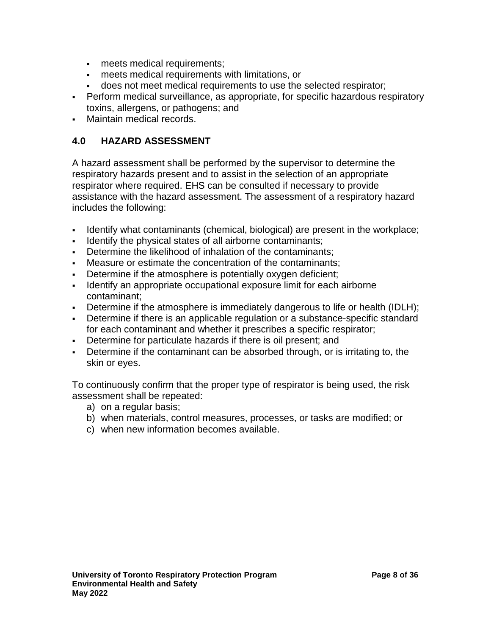- meets medical requirements;
- meets medical requirements with limitations, or
- does not meet medical requirements to use the selected respirator;
- Perform medical surveillance, as appropriate, for specific hazardous respiratory toxins, allergens, or pathogens; and
- Maintain medical records.

#### <span id="page-7-0"></span>**4.0 HAZARD ASSESSMENT**

A hazard assessment shall be performed by the supervisor to determine the respiratory hazards present and to assist in the selection of an appropriate respirator where required. EHS can be consulted if necessary to provide assistance with the hazard assessment. The assessment of a respiratory hazard includes the following:

- Identify what contaminants (chemical, biological) are present in the workplace;
- Identify the physical states of all airborne contaminants;
- Determine the likelihood of inhalation of the contaminants;
- Measure or estimate the concentration of the contaminants;
- Determine if the atmosphere is potentially oxygen deficient;
- I dentify an appropriate occupational exposure limit for each airborne contaminant;
- Determine if the atmosphere is immediately dangerous to life or health (IDLH);
- Determine if there is an applicable regulation or a substance-specific standard for each contaminant and whether it prescribes a specific respirator;
- Determine for particulate hazards if there is oil present; and
- Determine if the contaminant can be absorbed through, or is irritating to, the skin or eyes.

To continuously confirm that the proper type of respirator is being used, the risk assessment shall be repeated:

- a) on a regular basis;
- b) when materials, control measures, processes, or tasks are modified; or
- c) when new information becomes available.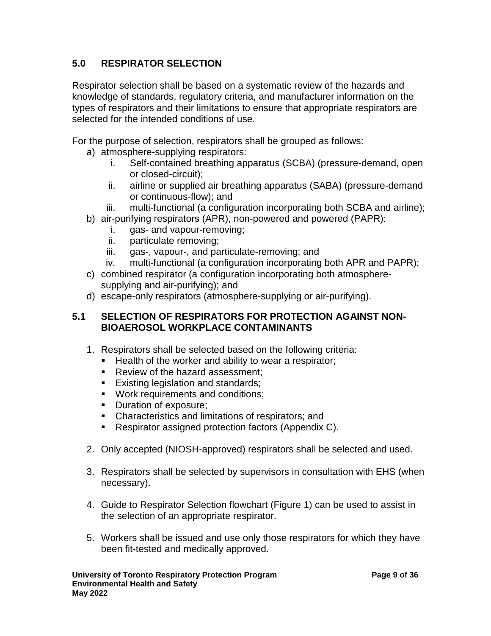## <span id="page-8-0"></span>**5.0 RESPIRATOR SELECTION**

Respirator selection shall be based on a systematic review of the hazards and knowledge of standards, regulatory criteria, and manufacturer information on the types of respirators and their limitations to ensure that appropriate respirators are selected for the intended conditions of use.

For the purpose of selection, respirators shall be grouped as follows:

- a) atmosphere-supplying respirators:
	- i. Self-contained breathing apparatus (SCBA) (pressure-demand, open or closed-circuit);
	- ii. airline or supplied air breathing apparatus (SABA) (pressure-demand or continuous-flow); and
	- iii. multi-functional (a configuration incorporating both SCBA and airline);
- b) air-purifying respirators (APR), non-powered and powered (PAPR):
	- i. gas- and vapour-removing;
	- ii. particulate removing;
	- iii. gas-, vapour-, and particulate-removing; and
	- iv. multi-functional (a configuration incorporating both APR and PAPR);
- c) combined respirator (a configuration incorporating both atmospheresupplying and air-purifying); and
- d) escape-only respirators (atmosphere-supplying or air-purifying).

#### <span id="page-8-1"></span>**5.1 SELECTION OF RESPIRATORS FOR PROTECTION AGAINST NON-BIOAEROSOL WORKPLACE CONTAMINANTS**

- 1. Respirators shall be selected based on the following criteria:
	- **Health of the worker and ability to wear a respirator;**
	- Review of the hazard assessment:
	- **Existing legislation and standards;**
	- **Work requirements and conditions;**
	- Duration of exposure;
	- **EXP** Characteristics and limitations of respirators; and
	- Respirator assigned protection factors (Appendix C).
- 2. Only accepted (NIOSH-approved) respirators shall be selected and used.
- 3. Respirators shall be selected by supervisors in consultation with EHS (when necessary).
- 4. Guide to Respirator Selection flowchart (Figure 1) can be used to assist in the selection of an appropriate respirator.
- 5. Workers shall be issued and use only those respirators for which they have been fit-tested and medically approved.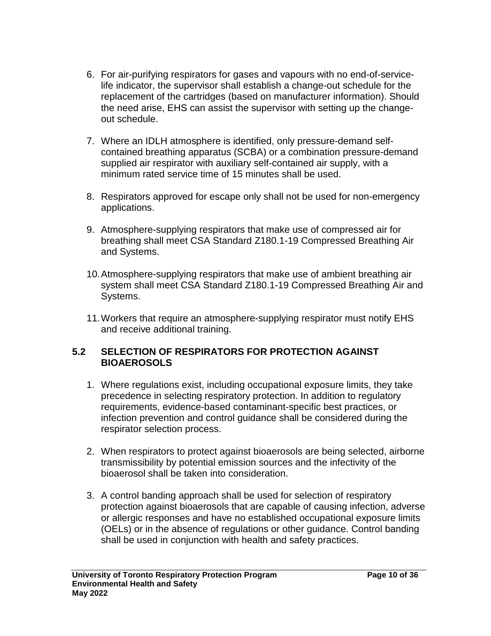- 6. For air-purifying respirators for gases and vapours with no end-of-servicelife indicator, the supervisor shall establish a change-out schedule for the replacement of the cartridges (based on manufacturer information). Should the need arise, EHS can assist the supervisor with setting up the changeout schedule.
- 7. Where an IDLH atmosphere is identified, only pressure-demand selfcontained breathing apparatus (SCBA) or a combination pressure-demand supplied air respirator with auxiliary self-contained air supply, with a minimum rated service time of 15 minutes shall be used.
- 8. Respirators approved for escape only shall not be used for non-emergency applications.
- 9. Atmosphere-supplying respirators that make use of compressed air for breathing shall meet CSA Standard Z180.1-19 Compressed Breathing Air and Systems.
- 10.Atmosphere-supplying respirators that make use of ambient breathing air system shall meet CSA Standard Z180.1-19 Compressed Breathing Air and Systems.
- 11.Workers that require an atmosphere-supplying respirator must notify EHS and receive additional training.

#### <span id="page-9-0"></span>**5.2 SELECTION OF RESPIRATORS FOR PROTECTION AGAINST BIOAEROSOLS**

- 1. Where regulations exist, including occupational exposure limits, they take precedence in selecting respiratory protection. In addition to regulatory requirements, evidence-based contaminant-specific best practices, or infection prevention and control guidance shall be considered during the respirator selection process.
- 2. When respirators to protect against bioaerosols are being selected, airborne transmissibility by potential emission sources and the infectivity of the bioaerosol shall be taken into consideration.
- 3. A control banding approach shall be used for selection of respiratory protection against bioaerosols that are capable of causing infection, adverse or allergic responses and have no established occupational exposure limits (OELs) or in the absence of regulations or other guidance. Control banding shall be used in conjunction with health and safety practices.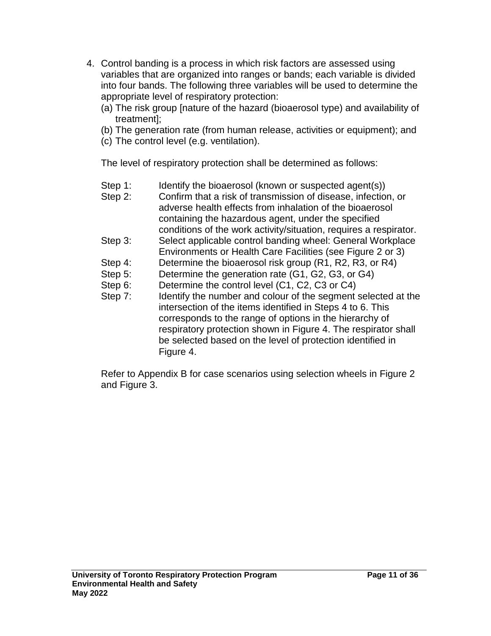- 4. Control banding is a process in which risk factors are assessed using variables that are organized into ranges or bands; each variable is divided into four bands. The following three variables will be used to determine the appropriate level of respiratory protection:
	- (a) The risk group [nature of the hazard (bioaerosol type) and availability of treatment];
	- (b) The generation rate (from human release, activities or equipment); and
	- (c) The control level (e.g. ventilation).

The level of respiratory protection shall be determined as follows:

- Step 1: Identify the bioaerosol (known or suspected agent(s))
- Step 2: Confirm that a risk of transmission of disease, infection, or adverse health effects from inhalation of the bioaerosol containing the hazardous agent, under the specified conditions of the work activity/situation, requires a respirator.
- Step 3: Select applicable control banding wheel: General Workplace Environments or Health Care Facilities (see Figure 2 or 3)
- Step 4: Determine the bioaerosol risk group (R1, R2, R3, or R4)
- Step 5: Determine the generation rate (G1, G2, G3, or G4)
- Step 6: Determine the control level (C1, C2, C3 or C4)
- Step 7: Identify the number and colour of the segment selected at the intersection of the items identified in Steps 4 to 6. This corresponds to the range of options in the hierarchy of respiratory protection shown in Figure 4. The respirator shall be selected based on the level of protection identified in Figure 4.

Refer to Appendix B for case scenarios using selection wheels in Figure 2 and Figure 3.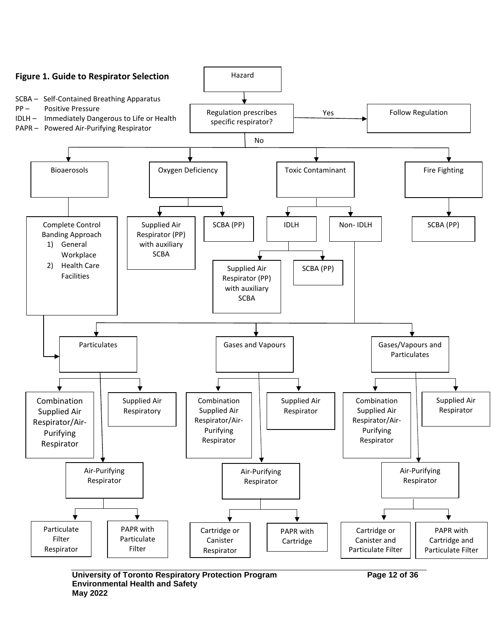

**University of Toronto Respiratory Protection Program Page 12 of 36 Environmental Health and Safety May 2022**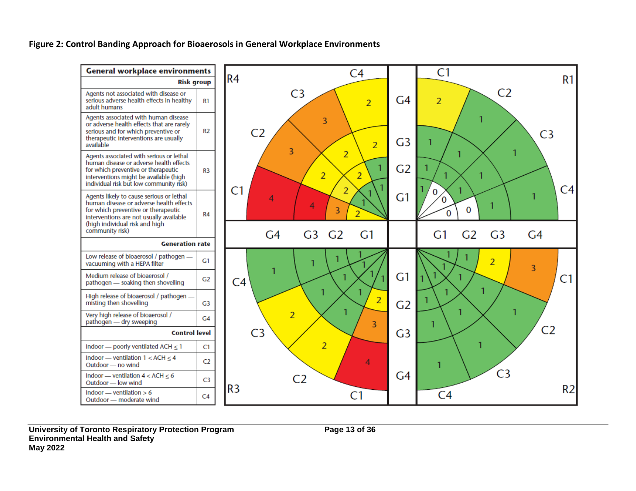**Figure 2: Control Banding Approach for Bioaerosols in General Workplace Environments**

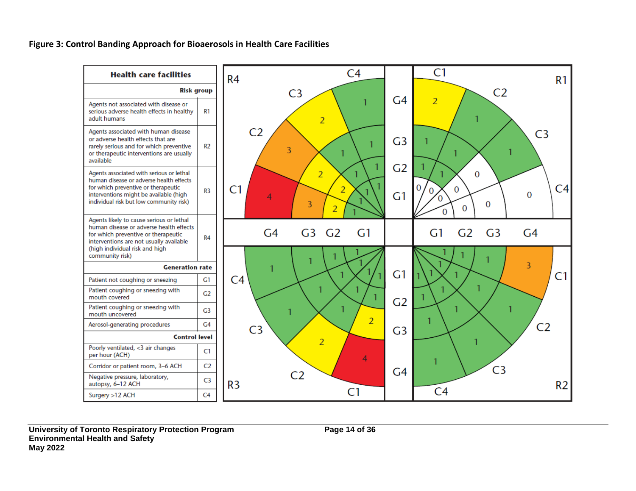**Figure 3: Control Banding Approach for Bioaerosols in Health Care Facilities** 



**University of Toronto Respiratory Protection Program Page 14 of 36 Environmental Health and Safety May 2022**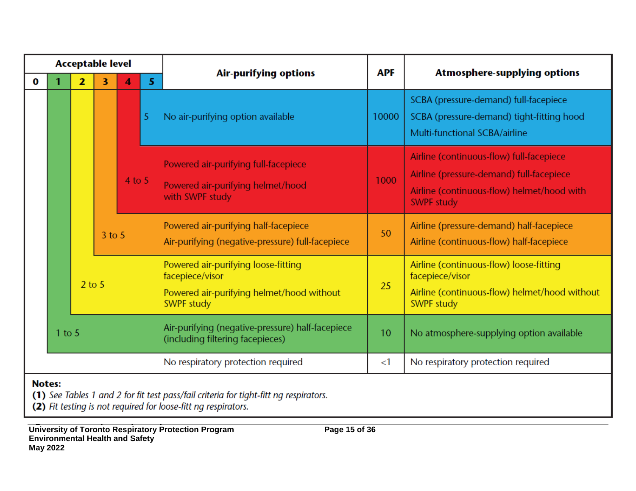|               | <b>Acceptable level</b> |                             |   |                                                                                      |                                                                                                                          |                                                                                              |                                                                                                                                  |                                                                                                                                                         |       |                                                                                                                     |
|---------------|-------------------------|-----------------------------|---|--------------------------------------------------------------------------------------|--------------------------------------------------------------------------------------------------------------------------|----------------------------------------------------------------------------------------------|----------------------------------------------------------------------------------------------------------------------------------|---------------------------------------------------------------------------------------------------------------------------------------------------------|-------|---------------------------------------------------------------------------------------------------------------------|
| $\bf{0}$      |                         | $\overline{2}$              | 3 | 4                                                                                    | 5                                                                                                                        | <b>Air-purifying options</b>                                                                 |                                                                                                                                  | <b>Atmosphere-supplying options</b>                                                                                                                     |       |                                                                                                                     |
|               |                         | 5<br>$4$ to 5<br>$3$ to $5$ |   |                                                                                      |                                                                                                                          |                                                                                              |                                                                                                                                  | No air-purifying option available                                                                                                                       | 10000 | SCBA (pressure-demand) full-facepiece<br>SCBA (pressure-demand) tight-fitting hood<br>Multi-functional SCBA/airline |
|               |                         |                             |   |                                                                                      |                                                                                                                          | Powered air-purifying full-facepiece<br>Powered air-purifying helmet/hood<br>with SWPF study | 1000                                                                                                                             | Airline (continuous-flow) full-facepiece<br>Airline (pressure-demand) full-facepiece<br>Airline (continuous-flow) helmet/hood with<br><b>SWPF study</b> |       |                                                                                                                     |
|               |                         |                             |   |                                                                                      | Powered air-purifying half-facepiece<br>Air-purifying (negative-pressure) full-facepiece                                 | 50                                                                                           | Airline (pressure-demand) half-facepiece<br>Airline (continuous-flow) half-facepiece                                             |                                                                                                                                                         |       |                                                                                                                     |
|               | $2$ to 5                |                             |   |                                                                                      | Powered air-purifying loose-fitting<br>facepiece/visor<br>Powered air-purifying helmet/hood without<br><b>SWPF study</b> | 25                                                                                           | Airline (continuous-flow) loose-fitting<br>facepiece/visor<br>Airline (continuous-flow) helmet/hood without<br><b>SWPF study</b> |                                                                                                                                                         |       |                                                                                                                     |
|               | $1$ to $5$              |                             |   | Air-purifying (negative-pressure) half-facepiece<br>(including filtering facepieces) | 10                                                                                                                       | No atmosphere-supplying option available                                                     |                                                                                                                                  |                                                                                                                                                         |       |                                                                                                                     |
|               |                         |                             |   |                                                                                      |                                                                                                                          | No respiratory protection required                                                           | $<$ 1                                                                                                                            | No respiratory protection required                                                                                                                      |       |                                                                                                                     |
| <b>Notes:</b> |                         |                             |   |                                                                                      |                                                                                                                          | (1) See Tables 1 and 2 for fit test pass/fail criteria for tight-fitt ng respirators.        |                                                                                                                                  |                                                                                                                                                         |       |                                                                                                                     |

(2) Fit testing is not required for loose-fitt ng respirators.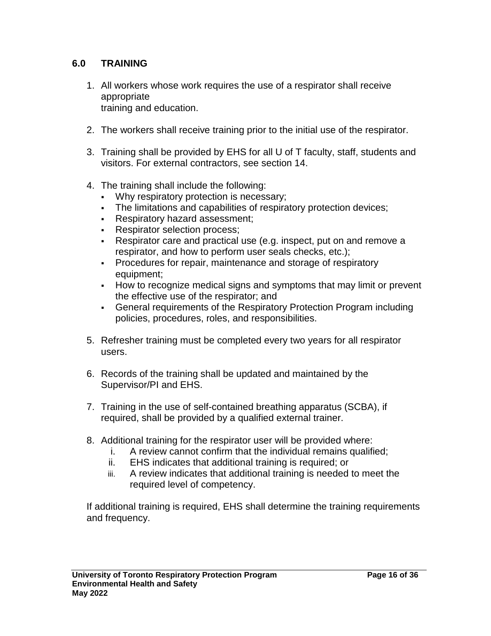#### <span id="page-15-0"></span>**6.0 TRAINING**

- 1. All workers whose work requires the use of a respirator shall receive appropriate training and education.
- 2. The workers shall receive training prior to the initial use of the respirator.
- 3. Training shall be provided by EHS for all U of T faculty, staff, students and visitors. For external contractors, see section 14.
- 4. The training shall include the following:
	- Why respiratory protection is necessary;
	- The limitations and capabilities of respiratory protection devices;
	- **Respiratory hazard assessment;**
	- **Respirator selection process;**
	- Respirator care and practical use (e.g. inspect, put on and remove a respirator, and how to perform user seals checks, etc.);
	- Procedures for repair, maintenance and storage of respiratory equipment;
	- How to recognize medical signs and symptoms that may limit or prevent the effective use of the respirator; and
	- General requirements of the Respiratory Protection Program including policies, procedures, roles, and responsibilities.
- 5. Refresher training must be completed every two years for all respirator users.
- 6. Records of the training shall be updated and maintained by the Supervisor/PI and EHS.
- 7. Training in the use of self-contained breathing apparatus (SCBA), if required, shall be provided by a qualified external trainer.
- 8. Additional training for the respirator user will be provided where:
	- i. A review cannot confirm that the individual remains qualified;
	- ii. EHS indicates that additional training is required; or
	- iii. A review indicates that additional training is needed to meet the required level of competency.

If additional training is required, EHS shall determine the training requirements and frequency.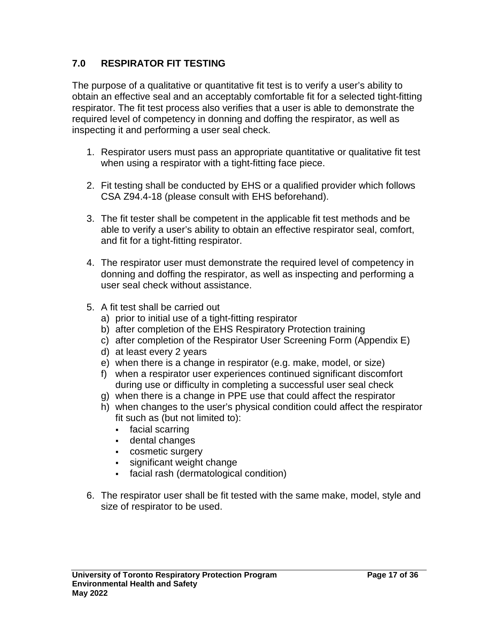#### <span id="page-16-0"></span>**7.0 RESPIRATOR FIT TESTING**

The purpose of a qualitative or quantitative fit test is to verify a user's ability to obtain an effective seal and an acceptably comfortable fit for a selected tight-fitting respirator. The fit test process also verifies that a user is able to demonstrate the required level of competency in donning and doffing the respirator, as well as inspecting it and performing a user seal check.

- 1. Respirator users must pass an appropriate quantitative or qualitative fit test when using a respirator with a tight-fitting face piece.
- 2. Fit testing shall be conducted by EHS or a qualified provider which follows CSA Z94.4-18 (please consult with EHS beforehand).
- 3. The fit tester shall be competent in the applicable fit test methods and be able to verify a user's ability to obtain an effective respirator seal, comfort, and fit for a tight-fitting respirator.
- 4. The respirator user must demonstrate the required level of competency in donning and doffing the respirator, as well as inspecting and performing a user seal check without assistance.
- 5. A fit test shall be carried out
	- a) prior to initial use of a tight-fitting respirator
	- b) after completion of the EHS Respiratory Protection training
	- c) after completion of the Respirator User Screening Form (Appendix E)
	- d) at least every 2 years
	- e) when there is a change in respirator (e.g. make, model, or size)
	- f) when a respirator user experiences continued significant discomfort during use or difficulty in completing a successful user seal check
	- g) when there is a change in PPE use that could affect the respirator
	- h) when changes to the user's physical condition could affect the respirator fit such as (but not limited to):
		- facial scarring
		- dental changes
		- cosmetic surgery
		- significant weight change
		- facial rash (dermatological condition)
- 6. The respirator user shall be fit tested with the same make, model, style and size of respirator to be used.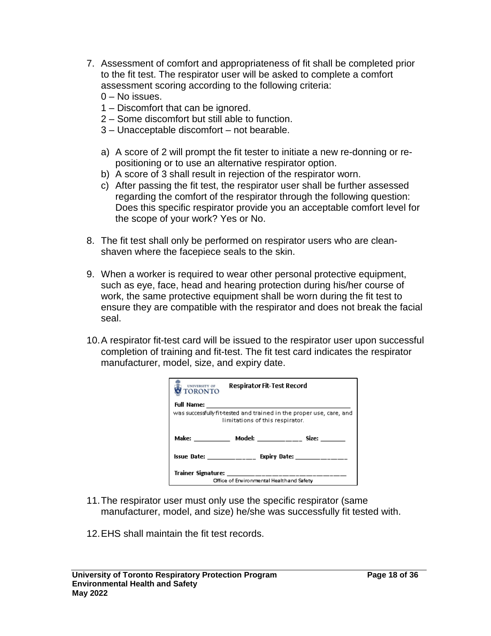- 7. Assessment of comfort and appropriateness of fit shall be completed prior to the fit test. The respirator user will be asked to complete a comfort assessment scoring according to the following criteria:
	- 0 No issues.
	- 1 Discomfort that can be ignored.
	- 2 Some discomfort but still able to function.
	- 3 Unacceptable discomfort not bearable.
	- a) A score of 2 will prompt the fit tester to initiate a new re-donning or repositioning or to use an alternative respirator option.
	- b) A score of 3 shall result in rejection of the respirator worn.
	- c) After passing the fit test, the respirator user shall be further assessed regarding the comfort of the respirator through the following question: Does this specific respirator provide you an acceptable comfort level for the scope of your work? Yes or No.
- 8. The fit test shall only be performed on respirator users who are cleanshaven where the facepiece seals to the skin.
- 9. When a worker is required to wear other personal protective equipment, such as eye, face, head and hearing protection during his/her course of work, the same protective equipment shall be worn during the fit test to ensure they are compatible with the respirator and does not break the facial seal.
- 10.A respirator fit-test card will be issued to the respirator user upon successful completion of training and fit-test. The fit test card indicates the respirator manufacturer, model, size, and expiry date.

| UNIVERSITY OF<br>TORONTO                                                                                | <b>Respirator Fit-Test Record</b>         |                                                                |  |  |  |  |
|---------------------------------------------------------------------------------------------------------|-------------------------------------------|----------------------------------------------------------------|--|--|--|--|
| Full Name:                                                                                              |                                           |                                                                |  |  |  |  |
| was successfully fit-tested and trained in the proper use, care, and<br>limitations of this respirator. |                                           |                                                                |  |  |  |  |
|                                                                                                         |                                           | Make: ______________ Model: __________________ Size: _________ |  |  |  |  |
|                                                                                                         |                                           | Issue Date: _______________ Expiry Date: ______________        |  |  |  |  |
|                                                                                                         | Trainer Signature: ______________________ |                                                                |  |  |  |  |
|                                                                                                         | Office of Erwironmental Healthand Safety  |                                                                |  |  |  |  |

- 11.The respirator user must only use the specific respirator (same manufacturer, model, and size) he/she was successfully fit tested with.
- 12.EHS shall maintain the fit test records.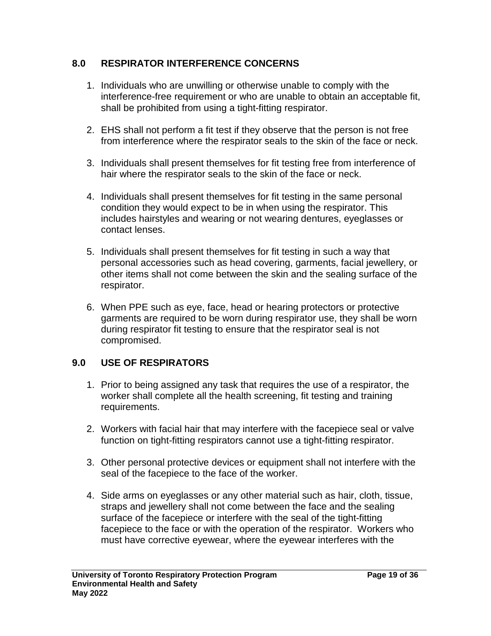#### <span id="page-18-0"></span>**8.0 RESPIRATOR INTERFERENCE CONCERNS**

- 1. Individuals who are unwilling or otherwise unable to comply with the interference-free requirement or who are unable to obtain an acceptable fit, shall be prohibited from using a tight-fitting respirator.
- 2. EHS shall not perform a fit test if they observe that the person is not free from interference where the respirator seals to the skin of the face or neck.
- 3. Individuals shall present themselves for fit testing free from interference of hair where the respirator seals to the skin of the face or neck.
- 4. Individuals shall present themselves for fit testing in the same personal condition they would expect to be in when using the respirator. This includes hairstyles and wearing or not wearing dentures, eyeglasses or contact lenses.
- 5. Individuals shall present themselves for fit testing in such a way that personal accessories such as head covering, garments, facial jewellery, or other items shall not come between the skin and the sealing surface of the respirator.
- 6. When PPE such as eye, face, head or hearing protectors or protective garments are required to be worn during respirator use, they shall be worn during respirator fit testing to ensure that the respirator seal is not compromised.

#### <span id="page-18-1"></span>**9.0 USE OF RESPIRATORS**

- 1. Prior to being assigned any task that requires the use of a respirator, the worker shall complete all the health screening, fit testing and training requirements.
- 2. Workers with facial hair that may interfere with the facepiece seal or valve function on tight-fitting respirators cannot use a tight-fitting respirator.
- 3. Other personal protective devices or equipment shall not interfere with the seal of the facepiece to the face of the worker.
- 4. Side arms on eyeglasses or any other material such as hair, cloth, tissue, straps and jewellery shall not come between the face and the sealing surface of the facepiece or interfere with the seal of the tight-fitting facepiece to the face or with the operation of the respirator. Workers who must have corrective eyewear, where the eyewear interferes with the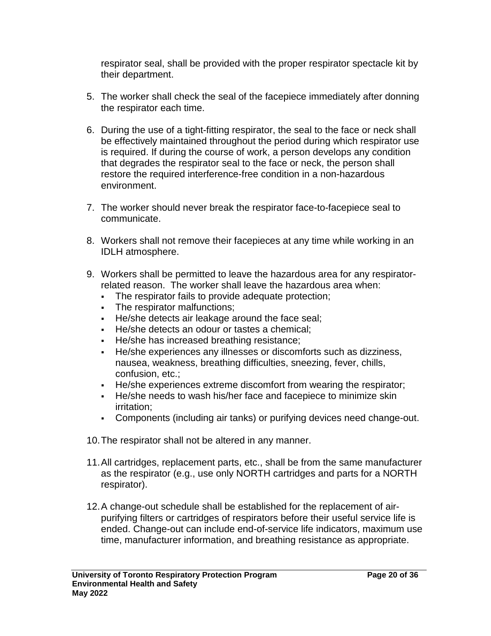respirator seal, shall be provided with the proper respirator spectacle kit by their department.

- 5. The worker shall check the seal of the facepiece immediately after donning the respirator each time.
- 6. During the use of a tight-fitting respirator, the seal to the face or neck shall be effectively maintained throughout the period during which respirator use is required. If during the course of work, a person develops any condition that degrades the respirator seal to the face or neck, the person shall restore the required interference-free condition in a non-hazardous environment.
- 7. The worker should never break the respirator face-to-facepiece seal to communicate.
- 8. Workers shall not remove their facepieces at any time while working in an IDLH atmosphere.
- 9. Workers shall be permitted to leave the hazardous area for any respiratorrelated reason. The worker shall leave the hazardous area when:
	- The respirator fails to provide adequate protection;
	- The respirator malfunctions;
	- He/she detects air leakage around the face seal;
	- He/she detects an odour or tastes a chemical;
	- He/she has increased breathing resistance;
	- He/she experiences any illnesses or discomforts such as dizziness, nausea, weakness, breathing difficulties, sneezing, fever, chills, confusion, etc.;
	- He/she experiences extreme discomfort from wearing the respirator;
	- He/she needs to wash his/her face and facepiece to minimize skin irritation;
	- Components (including air tanks) or purifying devices need change-out.
- 10.The respirator shall not be altered in any manner.
- 11.All cartridges, replacement parts, etc., shall be from the same manufacturer as the respirator (e.g., use only NORTH cartridges and parts for a NORTH respirator).
- 12.A change-out schedule shall be established for the replacement of airpurifying filters or cartridges of respirators before their useful service life is ended. Change-out can include end-of-service life indicators, maximum use time, manufacturer information, and breathing resistance as appropriate.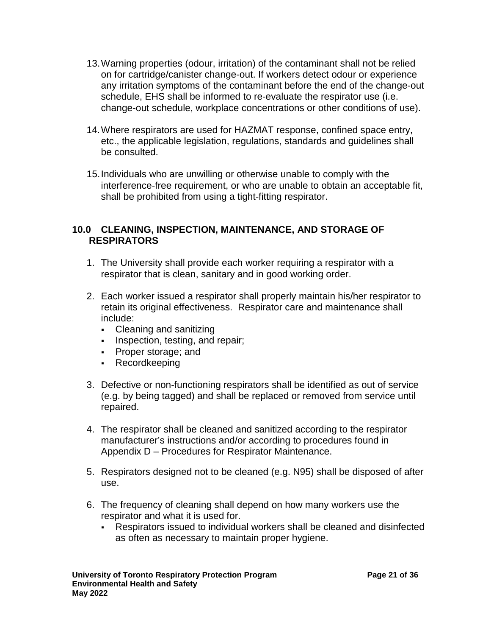- 13.Warning properties (odour, irritation) of the contaminant shall not be relied on for cartridge/canister change-out. If workers detect odour or experience any irritation symptoms of the contaminant before the end of the change-out schedule, EHS shall be informed to re-evaluate the respirator use (i.e. change-out schedule, workplace concentrations or other conditions of use).
- 14.Where respirators are used for HAZMAT response, confined space entry, etc., the applicable legislation, regulations, standards and guidelines shall be consulted.
- 15.Individuals who are unwilling or otherwise unable to comply with the interference-free requirement, or who are unable to obtain an acceptable fit, shall be prohibited from using a tight-fitting respirator.

#### <span id="page-20-0"></span>**10.0 CLEANING, INSPECTION, MAINTENANCE, AND STORAGE OF RESPIRATORS**

- 1. The University shall provide each worker requiring a respirator with a respirator that is clean, sanitary and in good working order.
- 2. Each worker issued a respirator shall properly maintain his/her respirator to retain its original effectiveness. Respirator care and maintenance shall include:
	- Cleaning and sanitizing
	- Inspection, testing, and repair:
	- Proper storage; and
	- Recordkeeping
- 3. Defective or non-functioning respirators shall be identified as out of service (e.g. by being tagged) and shall be replaced or removed from service until repaired.
- 4. The respirator shall be cleaned and sanitized according to the respirator manufacturer's instructions and/or according to procedures found in Appendix D – Procedures for Respirator Maintenance.
- 5. Respirators designed not to be cleaned (e.g. N95) shall be disposed of after use.
- 6. The frequency of cleaning shall depend on how many workers use the respirator and what it is used for.
	- Respirators issued to individual workers shall be cleaned and disinfected as often as necessary to maintain proper hygiene.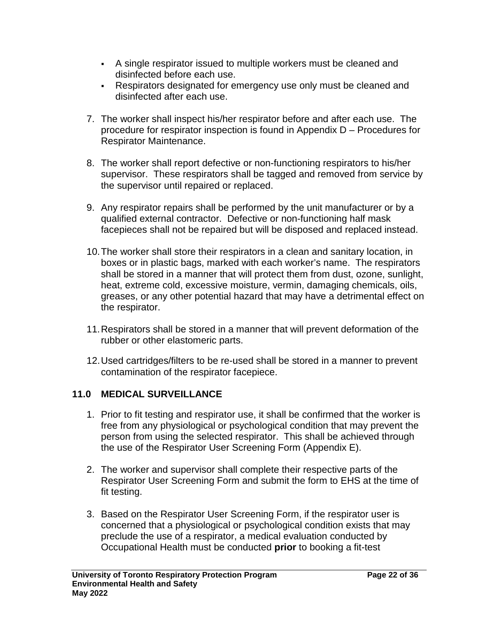- A single respirator issued to multiple workers must be cleaned and disinfected before each use.
- Respirators designated for emergency use only must be cleaned and disinfected after each use.
- 7. The worker shall inspect his/her respirator before and after each use. The procedure for respirator inspection is found in Appendix D – Procedures for Respirator Maintenance.
- 8. The worker shall report defective or non-functioning respirators to his/her supervisor. These respirators shall be tagged and removed from service by the supervisor until repaired or replaced.
- 9. Any respirator repairs shall be performed by the unit manufacturer or by a qualified external contractor. Defective or non-functioning half mask facepieces shall not be repaired but will be disposed and replaced instead.
- 10.The worker shall store their respirators in a clean and sanitary location, in boxes or in plastic bags, marked with each worker's name. The respirators shall be stored in a manner that will protect them from dust, ozone, sunlight, heat, extreme cold, excessive moisture, vermin, damaging chemicals, oils, greases, or any other potential hazard that may have a detrimental effect on the respirator.
- 11.Respirators shall be stored in a manner that will prevent deformation of the rubber or other elastomeric parts.
- 12.Used cartridges/filters to be re-used shall be stored in a manner to prevent contamination of the respirator facepiece.

## <span id="page-21-0"></span>**11.0 MEDICAL SURVEILLANCE**

- 1. Prior to fit testing and respirator use, it shall be confirmed that the worker is free from any physiological or psychological condition that may prevent the person from using the selected respirator. This shall be achieved through the use of the Respirator User Screening Form (Appendix E).
- 2. The worker and supervisor shall complete their respective parts of the Respirator User Screening Form and submit the form to EHS at the time of fit testing.
- 3. Based on the Respirator User Screening Form, if the respirator user is concerned that a physiological or psychological condition exists that may preclude the use of a respirator, a medical evaluation conducted by Occupational Health must be conducted **prior** to booking a fit-test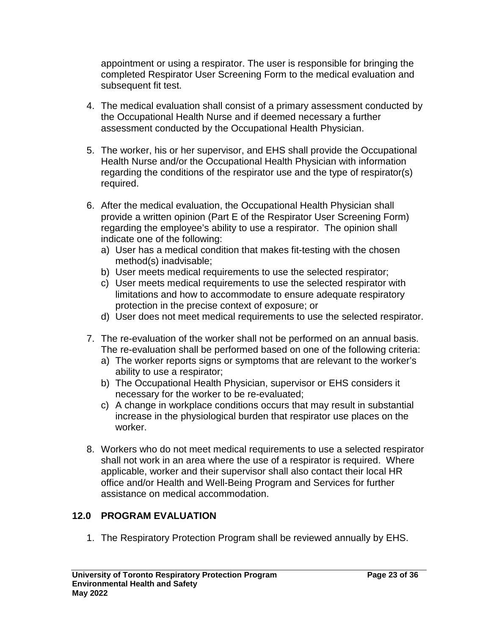appointment or using a respirator. The user is responsible for bringing the completed Respirator User Screening Form to the medical evaluation and subsequent fit test.

- 4. The medical evaluation shall consist of a primary assessment conducted by the Occupational Health Nurse and if deemed necessary a further assessment conducted by the Occupational Health Physician.
- 5. The worker, his or her supervisor, and EHS shall provide the Occupational Health Nurse and/or the Occupational Health Physician with information regarding the conditions of the respirator use and the type of respirator(s) required.
- 6. After the medical evaluation, the Occupational Health Physician shall provide a written opinion (Part E of the Respirator User Screening Form) regarding the employee's ability to use a respirator. The opinion shall indicate one of the following:
	- a) User has a medical condition that makes fit-testing with the chosen method(s) inadvisable;
	- b) User meets medical requirements to use the selected respirator;
	- c) User meets medical requirements to use the selected respirator with limitations and how to accommodate to ensure adequate respiratory protection in the precise context of exposure; or
	- d) User does not meet medical requirements to use the selected respirator.
- 7. The re-evaluation of the worker shall not be performed on an annual basis. The re-evaluation shall be performed based on one of the following criteria:
	- a) The worker reports signs or symptoms that are relevant to the worker's ability to use a respirator;
	- b) The Occupational Health Physician, supervisor or EHS considers it necessary for the worker to be re-evaluated;
	- c) A change in workplace conditions occurs that may result in substantial increase in the physiological burden that respirator use places on the worker.
- 8. Workers who do not meet medical requirements to use a selected respirator shall not work in an area where the use of a respirator is required. Where applicable, worker and their supervisor shall also contact their local HR office and/or Health and Well-Being Program and Services for further assistance on medical accommodation.

## <span id="page-22-0"></span>**12.0 PROGRAM EVALUATION**

1. The Respiratory Protection Program shall be reviewed annually by EHS.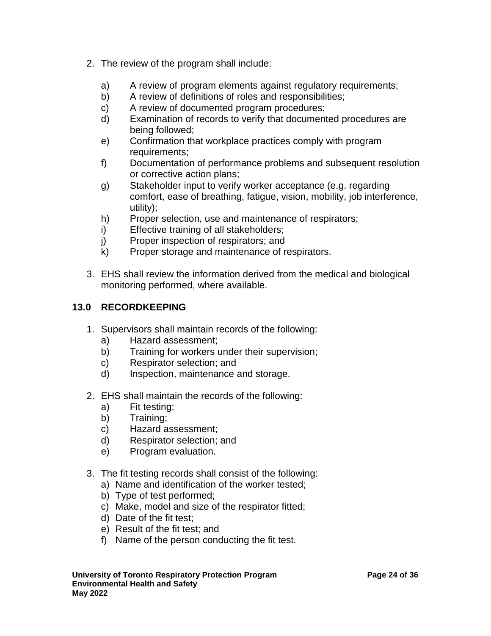- 2. The review of the program shall include:
	- a) A review of program elements against regulatory requirements;
	- b) A review of definitions of roles and responsibilities;
	- c) A review of documented program procedures;
	- d) Examination of records to verify that documented procedures are being followed;
	- e) Confirmation that workplace practices comply with program requirements;
	- f) Documentation of performance problems and subsequent resolution or corrective action plans;
	- g) Stakeholder input to verify worker acceptance (e.g. regarding comfort, ease of breathing, fatigue, vision, mobility, job interference, utility);
	- h) Proper selection, use and maintenance of respirators;
	- i) Effective training of all stakeholders;
	- j) Proper inspection of respirators; and
	- k) Proper storage and maintenance of respirators.
- 3. EHS shall review the information derived from the medical and biological monitoring performed, where available.

## <span id="page-23-0"></span>**13.0 RECORDKEEPING**

- 1. Supervisors shall maintain records of the following:
	- a) Hazard assessment;
	- b) Training for workers under their supervision;
	- c) Respirator selection; and
	- d) Inspection, maintenance and storage.
- 2. EHS shall maintain the records of the following:
	- a) Fit testing;
	- b) Training;
	- c) Hazard assessment;
	- d) Respirator selection; and
	- e) Program evaluation.
- 3. The fit testing records shall consist of the following:
	- a) Name and identification of the worker tested;
	- b) Type of test performed;
	- c) Make, model and size of the respirator fitted;
	- d) Date of the fit test;
	- e) Result of the fit test; and
	- f) Name of the person conducting the fit test.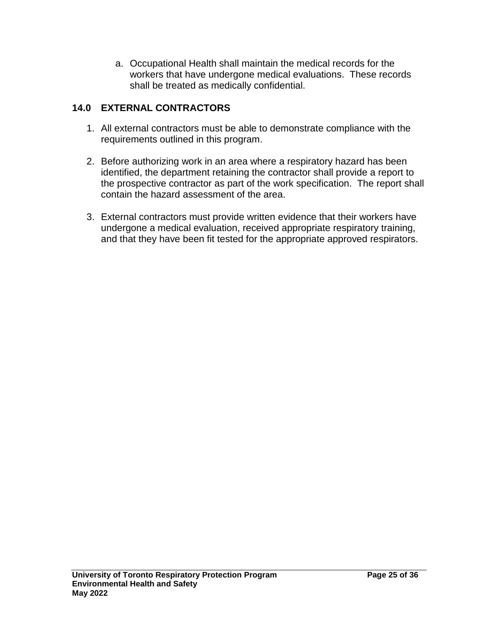a. Occupational Health shall maintain the medical records for the workers that have undergone medical evaluations. These records shall be treated as medically confidential.

## <span id="page-24-0"></span>**14.0 EXTERNAL CONTRACTORS**

- 1. All external contractors must be able to demonstrate compliance with the requirements outlined in this program.
- 2. Before authorizing work in an area where a respiratory hazard has been identified, the department retaining the contractor shall provide a report to the prospective contractor as part of the work specification. The report shall contain the hazard assessment of the area.
- 3. External contractors must provide written evidence that their workers have undergone a medical evaluation, received appropriate respiratory training, and that they have been fit tested for the appropriate approved respirators.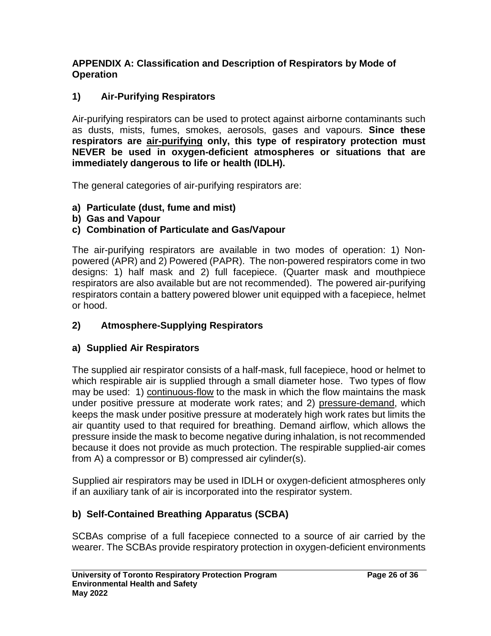#### <span id="page-25-0"></span>**APPENDIX A: Classification and Description of Respirators by Mode of Operation**

## **1) Air-Purifying Respirators**

Air-purifying respirators can be used to protect against airborne contaminants such as dusts, mists, fumes, smokes, aerosols, gases and vapours. **Since these respirators are air-purifying only, this type of respiratory protection must NEVER be used in oxygen-deficient atmospheres or situations that are immediately dangerous to life or health (IDLH).**

The general categories of air-purifying respirators are:

- **a) Particulate (dust, fume and mist)**
- **b) Gas and Vapour**

#### **c) Combination of Particulate and Gas/Vapour**

The air-purifying respirators are available in two modes of operation: 1) Nonpowered (APR) and 2) Powered (PAPR). The non-powered respirators come in two designs: 1) half mask and 2) full facepiece. (Quarter mask and mouthpiece respirators are also available but are not recommended). The powered air-purifying respirators contain a battery powered blower unit equipped with a facepiece, helmet or hood.

## **2) Atmosphere-Supplying Respirators**

## **a) Supplied Air Respirators**

The supplied air respirator consists of a half-mask, full facepiece, hood or helmet to which respirable air is supplied through a small diameter hose. Two types of flow may be used: 1) continuous-flow to the mask in which the flow maintains the mask under positive pressure at moderate work rates; and 2) pressure-demand, which keeps the mask under positive pressure at moderately high work rates but limits the air quantity used to that required for breathing. Demand airflow, which allows the pressure inside the mask to become negative during inhalation, is not recommended because it does not provide as much protection. The respirable supplied-air comes from A) a compressor or B) compressed air cylinder(s).

Supplied air respirators may be used in IDLH or oxygen-deficient atmospheres only if an auxiliary tank of air is incorporated into the respirator system.

## **b) Self-Contained Breathing Apparatus (SCBA)**

SCBAs comprise of a full facepiece connected to a source of air carried by the wearer. The SCBAs provide respiratory protection in oxygen-deficient environments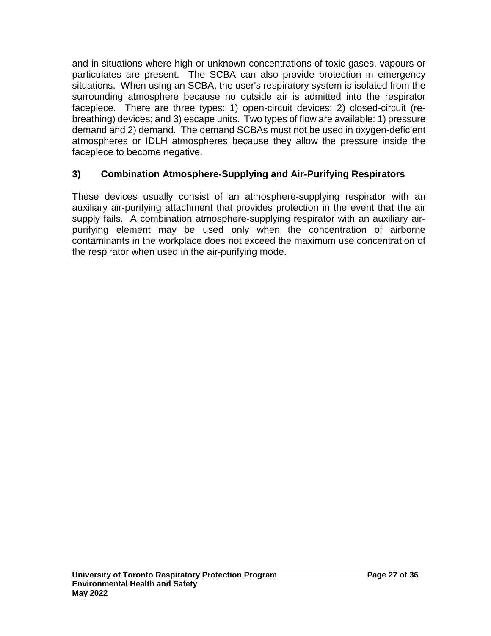and in situations where high or unknown concentrations of toxic gases, vapours or particulates are present. The SCBA can also provide protection in emergency situations. When using an SCBA, the user's respiratory system is isolated from the surrounding atmosphere because no outside air is admitted into the respirator facepiece. There are three types: 1) open-circuit devices; 2) closed-circuit (rebreathing) devices; and 3) escape units. Two types of flow are available: 1) pressure demand and 2) demand. The demand SCBAs must not be used in oxygen-deficient atmospheres or IDLH atmospheres because they allow the pressure inside the facepiece to become negative.

## **3) Combination Atmosphere-Supplying and Air-Purifying Respirators**

These devices usually consist of an atmosphere-supplying respirator with an auxiliary air-purifying attachment that provides protection in the event that the air supply fails. A combination atmosphere-supplying respirator with an auxiliary airpurifying element may be used only when the concentration of airborne contaminants in the workplace does not exceed the maximum use concentration of the respirator when used in the air-purifying mode.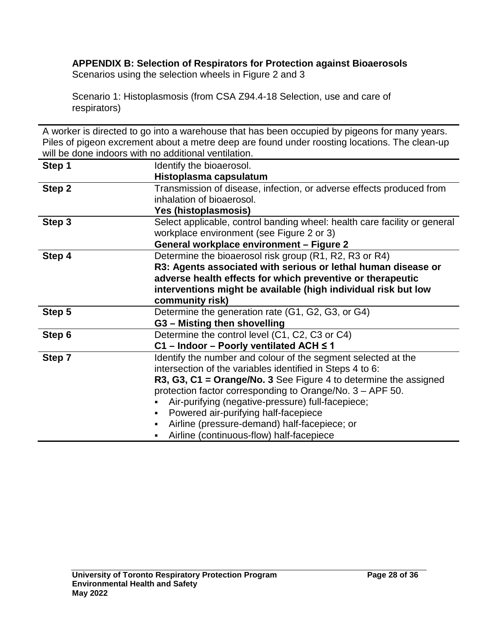## <span id="page-27-0"></span>**APPENDIX B: Selection of Respirators for Protection against Bioaerosols**

Scenarios using the selection wheels in Figure 2 and 3

Scenario 1: Histoplasmosis (from CSA Z94.4-18 Selection, use and care of respirators)

A worker is directed to go into a warehouse that has been occupied by pigeons for many years. Piles of pigeon excrement about a metre deep are found under roosting locations. The clean-up will be done indoors with no additional ventilation.

| Step 1 | Identify the bioaerosol.                                                  |  |  |  |  |
|--------|---------------------------------------------------------------------------|--|--|--|--|
|        | Histoplasma capsulatum                                                    |  |  |  |  |
| Step 2 | Transmission of disease, infection, or adverse effects produced from      |  |  |  |  |
|        | inhalation of bioaerosol.                                                 |  |  |  |  |
|        | Yes (histoplasmosis)                                                      |  |  |  |  |
| Step 3 | Select applicable, control banding wheel: health care facility or general |  |  |  |  |
|        | workplace environment (see Figure 2 or 3)                                 |  |  |  |  |
|        | General workplace environment – Figure 2                                  |  |  |  |  |
| Step 4 | Determine the bioaerosol risk group (R1, R2, R3 or R4)                    |  |  |  |  |
|        | R3: Agents associated with serious or lethal human disease or             |  |  |  |  |
|        | adverse health effects for which preventive or therapeutic                |  |  |  |  |
|        | interventions might be available (high individual risk but low            |  |  |  |  |
|        | community risk)                                                           |  |  |  |  |
| Step 5 | Determine the generation rate (G1, G2, G3, or G4)                         |  |  |  |  |
|        | G3 - Misting then shovelling                                              |  |  |  |  |
| Step 6 | Determine the control level (C1, C2, C3 or C4)                            |  |  |  |  |
|        | C1 - Indoor - Poorly ventilated ACH ≤ 1                                   |  |  |  |  |
| Step 7 | Identify the number and colour of the segment selected at the             |  |  |  |  |
|        | intersection of the variables identified in Steps 4 to 6:                 |  |  |  |  |
|        | R3, G3, C1 = Orange/No. 3 See Figure 4 to determine the assigned          |  |  |  |  |
|        | protection factor corresponding to Orange/No. 3 – APF 50.                 |  |  |  |  |
|        | Air-purifying (negative-pressure) full-facepiece;                         |  |  |  |  |
|        | Powered air-purifying half-facepiece                                      |  |  |  |  |
|        | Airline (pressure-demand) half-facepiece; or                              |  |  |  |  |
|        | Airline (continuous-flow) half-facepiece                                  |  |  |  |  |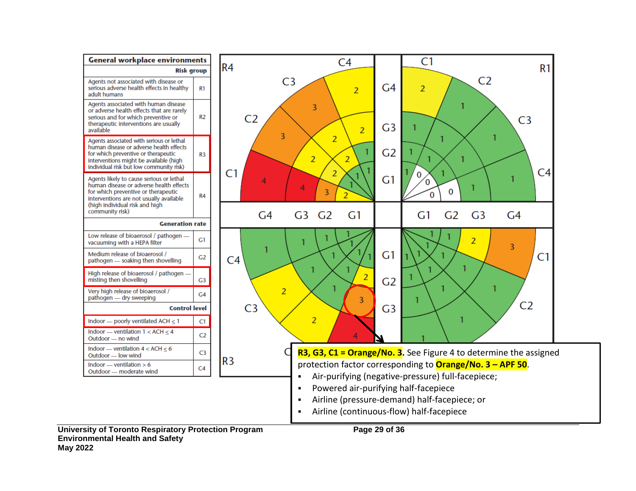

**Environmental Health and Safety**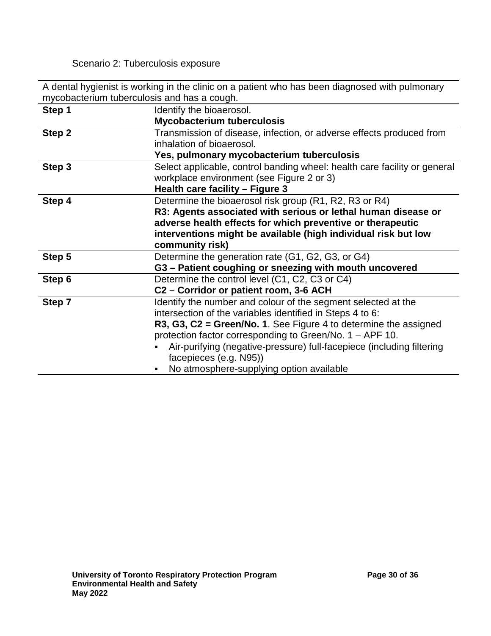Scenario 2: Tuberculosis exposure

A dental hygienist is working in the clinic on a patient who has been diagnosed with pulmonary mycobacterium tuberculosis and has a cough.

| Step 1 | Identify the bioaerosol.                                                  |  |  |  |  |
|--------|---------------------------------------------------------------------------|--|--|--|--|
|        | <b>Mycobacterium tuberculosis</b>                                         |  |  |  |  |
| Step 2 | Transmission of disease, infection, or adverse effects produced from      |  |  |  |  |
|        | inhalation of bioaerosol.                                                 |  |  |  |  |
|        | Yes, pulmonary mycobacterium tuberculosis                                 |  |  |  |  |
| Step 3 | Select applicable, control banding wheel: health care facility or general |  |  |  |  |
|        | workplace environment (see Figure 2 or 3)                                 |  |  |  |  |
|        | Health care facility - Figure 3                                           |  |  |  |  |
| Step 4 | Determine the bioaerosol risk group (R1, R2, R3 or R4)                    |  |  |  |  |
|        | R3: Agents associated with serious or lethal human disease or             |  |  |  |  |
|        | adverse health effects for which preventive or therapeutic                |  |  |  |  |
|        | interventions might be available (high individual risk but low            |  |  |  |  |
|        | community risk)                                                           |  |  |  |  |
| Step 5 | Determine the generation rate (G1, G2, G3, or G4)                         |  |  |  |  |
|        | G3 - Patient coughing or sneezing with mouth uncovered                    |  |  |  |  |
| Step 6 | Determine the control level (C1, C2, C3 or C4)                            |  |  |  |  |
|        | C2 - Corridor or patient room, 3-6 ACH                                    |  |  |  |  |
| Step 7 | Identify the number and colour of the segment selected at the             |  |  |  |  |
|        | intersection of the variables identified in Steps 4 to 6:                 |  |  |  |  |
|        | R3, G3, $C2 =$ Green/No. 1. See Figure 4 to determine the assigned        |  |  |  |  |
|        | protection factor corresponding to Green/No. 1 - APF 10.                  |  |  |  |  |
|        | Air-purifying (negative-pressure) full-facepiece (including filtering     |  |  |  |  |
|        | facepieces (e.g. N95))                                                    |  |  |  |  |
|        | No atmosphere-supplying option available                                  |  |  |  |  |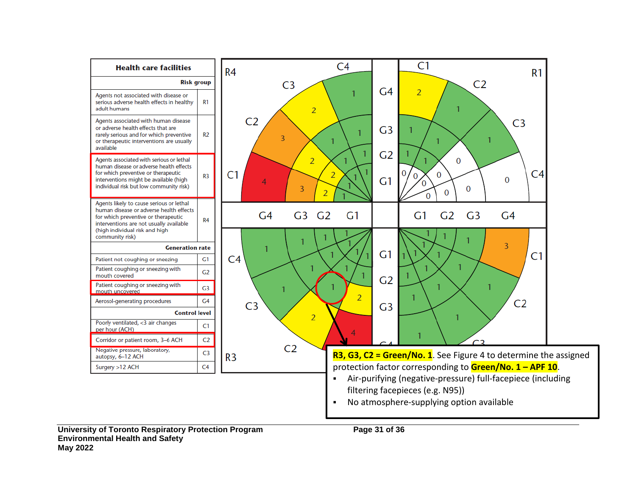

**University of Toronto Respiratory Protection Program Page 31 of 36 Environmental Health and Safety May 2022**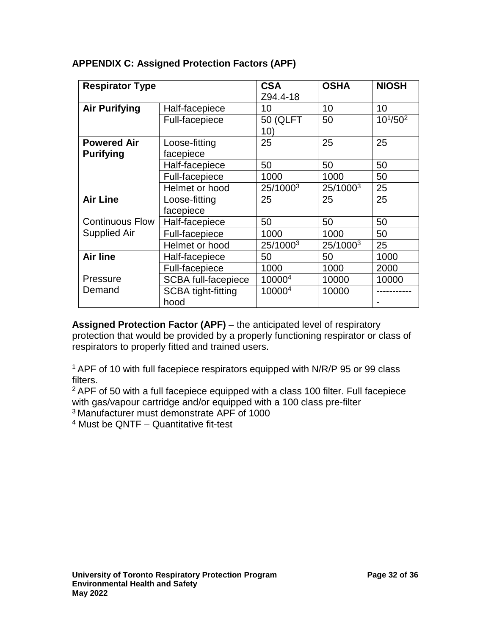| <b>Respirator Type</b> |                            | <b>CSA</b><br>Z94.4-18 | <b>OSHA</b> | <b>NIOSH</b>    |  |
|------------------------|----------------------------|------------------------|-------------|-----------------|--|
| <b>Air Purifying</b>   | Half-facepiece             | 10                     | 10          | 10              |  |
|                        | <b>Full-facepiece</b>      | <b>50 (QLFT</b><br>10) | 50          | $10^{1}/50^{2}$ |  |
| <b>Powered Air</b>     | Loose-fitting              | 25                     | 25          | 25              |  |
| <b>Purifying</b>       | facepiece                  |                        |             |                 |  |
|                        | Half-facepiece             | 50                     | 50          | 50              |  |
|                        | Full-facepiece             | 1000                   | 1000        | 50              |  |
|                        | Helmet or hood             | 25/10003               | 25/10003    | 25              |  |
| <b>Air Line</b>        | Loose-fitting              | 25                     | 25          | 25              |  |
|                        | facepiece                  |                        |             |                 |  |
| <b>Continuous Flow</b> | Half-facepiece             | 50                     | 50          | 50              |  |
| <b>Supplied Air</b>    | Full-facepiece             | 1000                   | 1000        | 50              |  |
|                        | Helmet or hood             | 25/10003               | 25/10003    | 25              |  |
| <b>Air line</b>        | Half-facepiece             | 50                     | 50          | 1000            |  |
|                        | Full-facepiece             | 1000                   | 1000        | 2000            |  |
| Pressure               | <b>SCBA full-facepiece</b> | 10000 <sup>4</sup>     | 10000       | 10000           |  |
| Demand                 | <b>SCBA tight-fitting</b>  | 10000 <sup>4</sup>     | 10000       |                 |  |
|                        | hood                       |                        |             |                 |  |

#### <span id="page-31-0"></span>**APPENDIX C: Assigned Protection Factors (APF)**

**Assigned Protection Factor (APF)** – the anticipated level of respiratory protection that would be provided by a properly functioning respirator or class of respirators to properly fitted and trained users.

1 APF of 10 with full facepiece respirators equipped with N/R/P 95 or 99 class filters.

2 APF of 50 with a full facepiece equipped with a class 100 filter. Full facepiece with gas/vapour cartridge and/or equipped with a 100 class pre-filter

3 Manufacturer must demonstrate APF of 1000

<sup>4</sup> Must be QNTF – Quantitative fit-test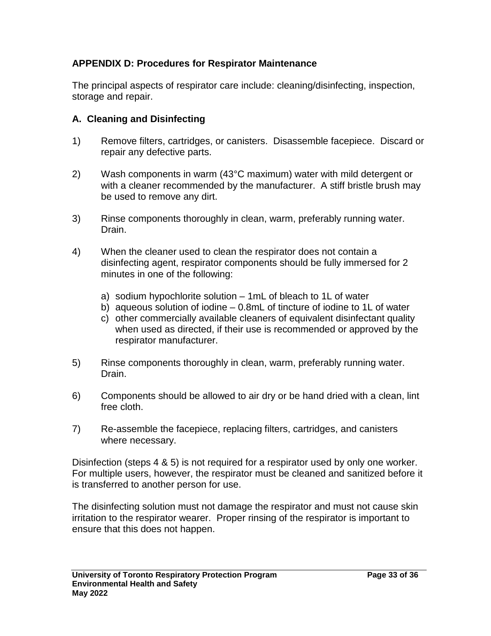#### <span id="page-32-0"></span>**APPENDIX D: Procedures for Respirator Maintenance**

The principal aspects of respirator care include: cleaning/disinfecting, inspection, storage and repair.

#### **A. Cleaning and Disinfecting**

- 1) Remove filters, cartridges, or canisters. Disassemble facepiece. Discard or repair any defective parts.
- 2) Wash components in warm (43°C maximum) water with mild detergent or with a cleaner recommended by the manufacturer. A stiff bristle brush may be used to remove any dirt.
- 3) Rinse components thoroughly in clean, warm, preferably running water. Drain.
- 4) When the cleaner used to clean the respirator does not contain a disinfecting agent, respirator components should be fully immersed for 2 minutes in one of the following:
	- a) sodium hypochlorite solution 1mL of bleach to 1L of water
	- b) aqueous solution of iodine 0.8mL of tincture of iodine to 1L of water
	- c) other commercially available cleaners of equivalent disinfectant quality when used as directed, if their use is recommended or approved by the respirator manufacturer.
- 5) Rinse components thoroughly in clean, warm, preferably running water. Drain.
- 6) Components should be allowed to air dry or be hand dried with a clean, lint free cloth.
- 7) Re-assemble the facepiece, replacing filters, cartridges, and canisters where necessary.

Disinfection (steps 4 & 5) is not required for a respirator used by only one worker. For multiple users, however, the respirator must be cleaned and sanitized before it is transferred to another person for use.

The disinfecting solution must not damage the respirator and must not cause skin irritation to the respirator wearer. Proper rinsing of the respirator is important to ensure that this does not happen.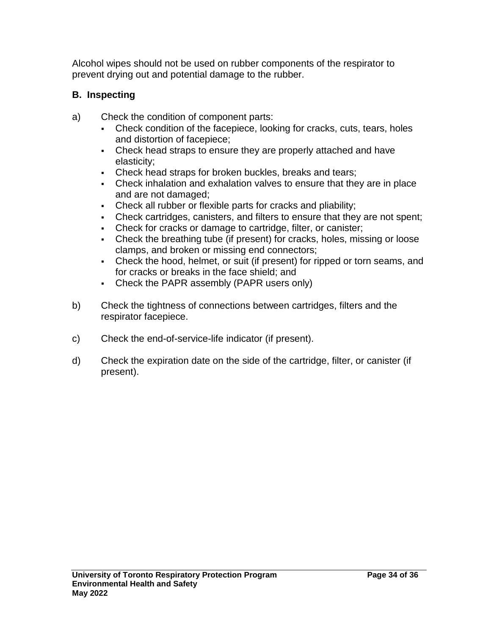Alcohol wipes should not be used on rubber components of the respirator to prevent drying out and potential damage to the rubber.

## **B. Inspecting**

- a) Check the condition of component parts:
	- Check condition of the facepiece, looking for cracks, cuts, tears, holes and distortion of facepiece;
	- Check head straps to ensure they are properly attached and have elasticity;
	- Check head straps for broken buckles, breaks and tears;
	- Check inhalation and exhalation valves to ensure that they are in place and are not damaged;
	- Check all rubber or flexible parts for cracks and pliability;
	- Check cartridges, canisters, and filters to ensure that they are not spent;
	- Check for cracks or damage to cartridge, filter, or canister;
	- Check the breathing tube (if present) for cracks, holes, missing or loose clamps, and broken or missing end connectors;
	- Check the hood, helmet, or suit (if present) for ripped or torn seams, and for cracks or breaks in the face shield; and
	- Check the PAPR assembly (PAPR users only)
- b) Check the tightness of connections between cartridges, filters and the respirator facepiece.
- c) Check the end-of-service-life indicator (if present).
- d) Check the expiration date on the side of the cartridge, filter, or canister (if present).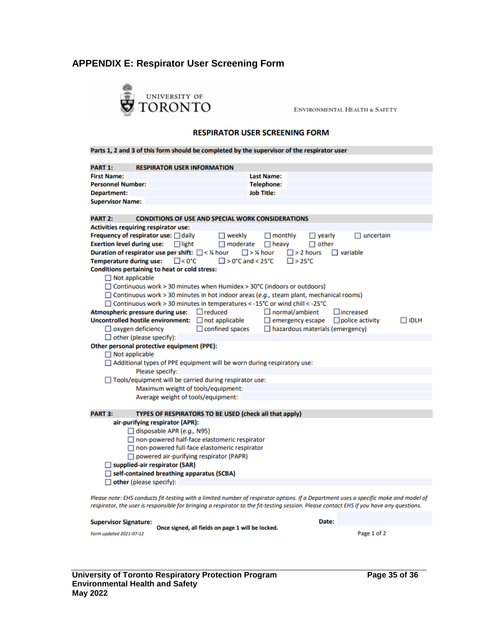#### <span id="page-34-0"></span>**APPENDIX E: Respirator User Screening Form**



ENVIRONMENTAL HEALTH & SAFETY

#### **RESPIRATOR USER SCREENING FORM**

| PART 1:<br><b>RESPIRATOR USER INFORMATION</b>                                                  |                                                                                                                                      |  |  |  |  |  |  |  |
|------------------------------------------------------------------------------------------------|--------------------------------------------------------------------------------------------------------------------------------------|--|--|--|--|--|--|--|
| <b>First Name:</b>                                                                             | <b>Last Name:</b>                                                                                                                    |  |  |  |  |  |  |  |
| <b>Personnel Number:</b>                                                                       | <b>Telephone:</b>                                                                                                                    |  |  |  |  |  |  |  |
| Department:                                                                                    | <b>Job Title:</b>                                                                                                                    |  |  |  |  |  |  |  |
| <b>Supervisor Name:</b>                                                                        |                                                                                                                                      |  |  |  |  |  |  |  |
|                                                                                                |                                                                                                                                      |  |  |  |  |  |  |  |
| <b>PART 2:</b><br><b>CONDITIONS OF USE AND SPECIAL WORK CONSIDERATIONS</b>                     |                                                                                                                                      |  |  |  |  |  |  |  |
| <b>Activities requiring respirator use:</b>                                                    |                                                                                                                                      |  |  |  |  |  |  |  |
| Frequency of respirator use: □ daily<br>$\Box$ weekly                                          | $\Box$ monthly<br>$\Box$ yearly<br>uncertain                                                                                         |  |  |  |  |  |  |  |
| <b>Exertion level during use:</b><br>$\Box$ moderate<br>$\Box$ light                           | $\Box$ heavy<br>$\Box$ other                                                                                                         |  |  |  |  |  |  |  |
| Duration of respirator use per shift: $\Box$ < % hour                                          | $\Box$ > ¼ hour<br>$\square$ > 2 hours<br>$\Box$ variable                                                                            |  |  |  |  |  |  |  |
| $\square$ < 0°C<br><b>Temperature during use:</b>                                              | $\Box$ > 0°C and < 25°C<br>$\square$ > 25°C                                                                                          |  |  |  |  |  |  |  |
| Conditions pertaining to heat or cold stress:                                                  |                                                                                                                                      |  |  |  |  |  |  |  |
| $\Box$ Not applicable                                                                          |                                                                                                                                      |  |  |  |  |  |  |  |
| $\Box$ Continuous work > 30 minutes when Humidex > 30°C (indoors or outdoors)                  |                                                                                                                                      |  |  |  |  |  |  |  |
| $\Box$ Continuous work > 30 minutes in hot indoor areas (e.g., steam plant, mechanical rooms)  |                                                                                                                                      |  |  |  |  |  |  |  |
| □ Continuous work > 30 minutes in temperatures < -15°C or wind chill < -25°C                   |                                                                                                                                      |  |  |  |  |  |  |  |
| $\Box$ reduced<br>Atmospheric pressure during use:<br><b>Uncontrolled hostile environment:</b> | $\Box$ increased<br>$\Box$ normal/ambient                                                                                            |  |  |  |  |  |  |  |
| $\Box$ not applicable                                                                          | $\Box$ emergency escape<br>$\Box$ police activity<br>$\Box$ IDLH                                                                     |  |  |  |  |  |  |  |
| $\Box$ confined spaces<br>$\Box$ oxygen deficiency                                             | $\Box$ hazardous materials (emergency)                                                                                               |  |  |  |  |  |  |  |
| $\Box$ other (please specify):                                                                 |                                                                                                                                      |  |  |  |  |  |  |  |
| Other personal protective equipment (PPE):<br>$\Box$ Not applicable                            |                                                                                                                                      |  |  |  |  |  |  |  |
| $\Box$ Additional types of PPE equipment will be worn during respiratory use:                  |                                                                                                                                      |  |  |  |  |  |  |  |
| Please specify:                                                                                |                                                                                                                                      |  |  |  |  |  |  |  |
| □ Tools/equipment will be carried during respirator use:                                       |                                                                                                                                      |  |  |  |  |  |  |  |
| Maximum weight of tools/equipment:                                                             |                                                                                                                                      |  |  |  |  |  |  |  |
| Average weight of tools/equipment:                                                             |                                                                                                                                      |  |  |  |  |  |  |  |
|                                                                                                |                                                                                                                                      |  |  |  |  |  |  |  |
| <b>PART 3:</b><br>TYPES OF RESPIRATORS TO BE USED (check all that apply)                       |                                                                                                                                      |  |  |  |  |  |  |  |
| air-purifying respirator (APR):                                                                |                                                                                                                                      |  |  |  |  |  |  |  |
| $\Box$ disposable APR (e.g., N95)                                                              |                                                                                                                                      |  |  |  |  |  |  |  |
| □ non-powered half-face elastomeric respirator                                                 |                                                                                                                                      |  |  |  |  |  |  |  |
| □ non-powered full-face elastomeric respirator                                                 |                                                                                                                                      |  |  |  |  |  |  |  |
| □ powered air-purifying respirator (PAPR)                                                      |                                                                                                                                      |  |  |  |  |  |  |  |
| □ supplied-air respirator (SAR)                                                                |                                                                                                                                      |  |  |  |  |  |  |  |
| $\Box$ self-contained breathing apparatus (SCBA)                                               |                                                                                                                                      |  |  |  |  |  |  |  |
| $\Box$ other (please specify):                                                                 |                                                                                                                                      |  |  |  |  |  |  |  |
|                                                                                                | Please note: FHS conducts fit-testing with a limited number of respirator options. If a Department uses a specific make and model of |  |  |  |  |  |  |  |

Please note: EHS conducts fit-testing with a limited number of respirator options. If a Department uses a specific make and model o<br>respirator, the user is responsible for bringing a respirator to the fit-testing session.

| <b>Supervisor Signature:</b> |                                                   | Date: |             |
|------------------------------|---------------------------------------------------|-------|-------------|
| Form updated 2021-07-12      | Once signed, all fields on page 1 will be locked. |       | Page 1 of 2 |